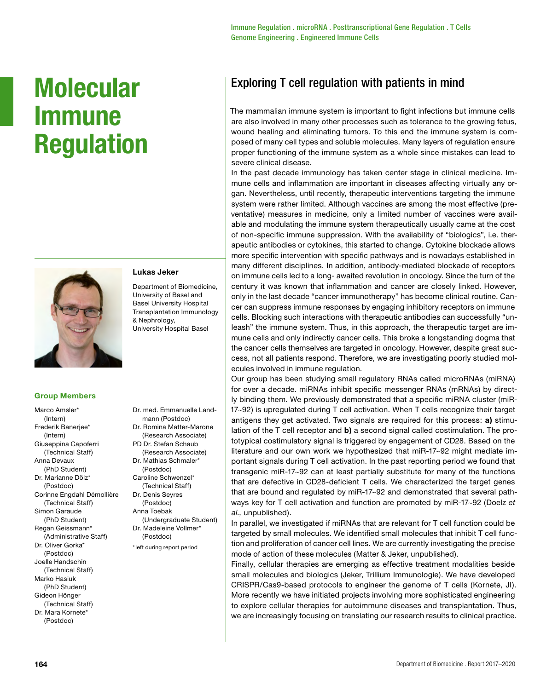# **Molecular Immune Regulation**



### **Lukas Jeker**

Department of Biomedicine, University of Basel and Basel University Hospital Transplantation Immunology & Nephrology, University Hospital Basel

Dr. med. Emmanuelle Landmann (Postdoc) Dr. Romina Matter-Marone (Research Associate) PD Dr. Stefan Schaub (Research Associate) Dr. Mathias Schmaler\* (Postdoc) Caroline Schwenzel\* (Technical Staff) Dr. Denis Seyres (Postdoc) Anna Toebak

(Undergraduate Student) Dr. Madeleine Vollmer\* (Postdoc) \*left during report period

### **Group Members**

Marco Amsler<sup>\*</sup> (Intern) Frederik Banerjee\* (Intern) Giuseppina Capoferri (Technical Staff) Anna Devaux (PhD Student) Dr. Marianne Dölz\* (Postdoc) Corinne Engdahl Démollière (Technical Staff) Simon Garaude (PhD Student) Regan Geissmann\* (Administrative Staff) Dr. Oliver Gorka\* (Postdoc) Joelle Handschin (Technical Staff) Marko Hasiuk (PhD Student) Gideon Hönger (Technical Staff) Dr. Mara Kornete\*

(Postdoc)

## Exploring T cell regulation with patients in mind

The mammalian immune system is important to fight infections but immune cells are also involved in many other processes such as tolerance to the growing fetus, wound healing and eliminating tumors. To this end the immune system is composed of many cell types and soluble molecules. Many layers of regulation ensure proper functioning of the immune system as a whole since mistakes can lead to severe clinical disease.

In the past decade immunology has taken center stage in clinical medicine. Immune cells and inflammation are important in diseases affecting virtually any organ. Nevertheless, until recently, therapeutic interventions targeting the immune system were rather limited. Although vaccines are among the most effective (preventative) measures in medicine, only a limited number of vaccines were available and modulating the immune system therapeutically usually came at the cost of non-specific immune suppression. With the availability of "biologics", i.e. therapeutic antibodies or cytokines, this started to change. Cytokine blockade allows more specific intervention with specific pathways and is nowadays established in many different disciplines. In addition, antibody-mediated blockade of receptors on immune cells led to a long- awaited revolution in oncology. Since the turn of the century it was known that inflammation and cancer are closely linked. However, only in the last decade "cancer immunotherapy" has become clinical routine. Cancer can suppress immune responses by engaging inhibitory receptors on immune cells. Blocking such interactions with therapeutic antibodies can successfully "unleash" the immune system. Thus, in this approach, the therapeutic target are immune cells and only indirectly cancer cells. This broke a longstanding dogma that the cancer cells themselves are targeted in oncology. However, despite great success, not all patients respond. Therefore, we are investigating poorly studied molecules involved in immune regulation.

Our group has been studying small regulatory RNAs called microRNAs (miRNA) for over a decade. miRNAs inhibit specific messenger RNAs (mRNAs) by directly binding them. We previously demonstrated that a specific miRNA cluster (miR-17~92) is upregulated during T cell activation. When T cells recognize their target antigens they get activated. Two signals are required for this process: **a)** stimulation of the T cell receptor and **b)** a second signal called costimulation. The prototypical costimulatory signal is triggered by engagement of CD28. Based on the literature and our own work we hypothesized that miR-17~92 might mediate important signals during T cell activation. In the past reporting period we found that transgenic miR-17~92 can at least partially substitute for many of the functions that are defective in CD28-deficient T cells. We characterized the target genes that are bound and regulated by miR-17~92 and demonstrated that several pathways key for T cell activation and function are promoted by miR-17~92 (Doelz *et al.,* unpublished).

In parallel, we investigated if miRNAs that are relevant for T cell function could be targeted by small molecules. We identified small molecules that inhibit T cell function and proliferation of cancer cell lines. We are currently investigating the precise mode of action of these molecules (Matter & Jeker, unpublished).

Finally, cellular therapies are emerging as effective treatment modalities beside small molecules and biologics (Jeker, Trillium Immunologie). We have developed CRISPR/Cas9-based protocols to engineer the genome of T cells (Kornete, JI). More recently we have initiated projects involving more sophisticated engineering to explore cellular therapies for autoimmune diseases and transplantation. Thus, we are increasingly focusing on translating our research results to clinical practice.